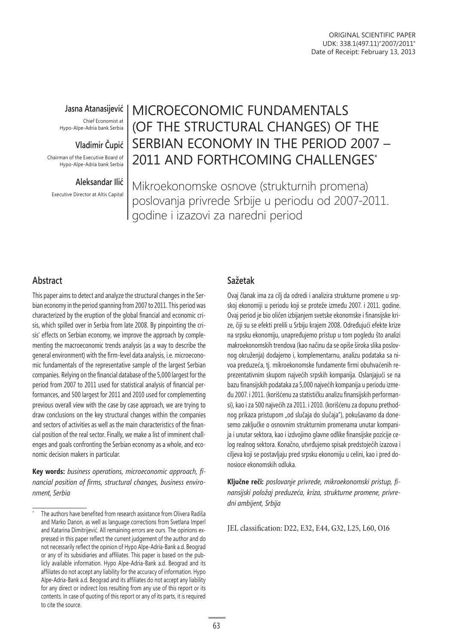**Jasna Atanasiiević** Chief Economist at Hypo-Alpe-Adria bank Serbia

*Madimir Čupić* 

Chairman of the Executive Board of Hypo-Alpe-Adria bank Serbia

# Aleksandar Ilić

Executive Director at Altis Capital

# MICROECONOMIC FUNDAMENTALS (OF THE STRUCTURAL CHANGES) OF THE SERBIAN ECONOMY IN THE PERIOD 2007 – 2011 AND FORTHCOMING CHALLENGES\*

Mikroekonomske osnove (strukturnih promena) poslovanja privrede Srbije u periodu od 2007-2011. godine i izazovi za naredni period

# Abstract

This paper aims to detect and analyze the structural changes in the Serbian economy in the period spanning from 2007 to 2011. This period was  $\,$ characterized by the eruption of the global financial and economic crisis, which spilled over in Serbia from late 2008. By pinpointing the crisis' effects on Serbian economy, we improve the approach by complementing the macroeconomic trends analysis (as a way to describe the general environment) with the firm-level data analysis, i.e. microeconomic fundamentals of the representative sample of the largest Serbian companies. Relying on the financial database of the 5,000 largest for the period from 2007 to 2011 used for statistical analysis of financial performances, and 500 largest for 2011 and 2010 used for complementing previous overall view with the case by case approach, we are trying to draw conclusions on the key structural changes within the companies and sectors of activities as well as the main characteristics of the financial position of the real sector. Finally, we make a list of imminent challenges and goals confronting the Serbian economy as a whole, and economic decision makers in particular.

**Key words:** business operations, microeconomic approach, financial position of firms, structural changes, business enviro*nment, Serbia*

# Sažetak

Ovaj članak ima za cilj da odredi i analizira strukturne promene u srp-<br> skoj ekonomiji u periodu koji se proteže između 2007. i 2011. godine. Ovaj period je bio oličen izbijanjem svetske ekonomske i finansijske krize, čiji su se efekti prelili u Srbiju krajem 2008. Određujući efekte krize na srpsku ekonomiju, unapređujemo pristup u tom pogledu što analizi makroekonomskih trendova (kao načinu da se opiše široka slika poslovnog okruženja) dodajemo i, komplementarnu, analizu podataka sa nivoa preduzeća, tj. mikroekonomske fundamente firmi obuhvaćenih reprezentativnim skupom najvećih srpskih kompanija. Oslanjajući se na bazu finansijskih podataka za 5,000 najvećih kompanija u periodu između 2007. i 2011. (korišćenu za statističku analizu finansijskih performansi), kao i za 500 najvećih za 2011. i 2010. (korišćenu za dopunu prethodnog prikaza pristupom "od slučaja do slučaja"), pokušavamo da donesemo zaključke o osnovnim strukturnim promenama unutar kompanija i unutar sektora, kao i izdvojimo glavne odlike finansijske pozicije celog realnog sektora. Konačno, utvrđujemo spisak predstojećih izazova i ciljeva koji se postavljaju pred srpsku ekonomiju u celini, kao i pred donosioce ekonomskih odluka.

Ključne reči: poslovanje privrede, mikroekonomski pristup, finansijski položaj preduzeća, kriza, strukturne promene, privre*dni ambijent, Srbija*

JEL classification: D22, E32, E44, G32, L25, L60, O16

<sup>\*</sup> The authors have benefited from research assistance from Olivera Radiša and Marko Danon, as well as language corrections from Svetlana Imperl and Katarina Dimitrijević. All remaining errors are ours. The opinions expressed in this paper reflect the current judgement of the author and do not necessarily reflect the opinion of Hypo Alpe-Adria-Bank a.d. Beograd or any of its subsidiaries and affiliates. This paper is based on the publicly available information. Hypo Alpe-Adria-Bank a.d. Beograd and its affiliates do not accept any liability for the accuracy of information. Hypo Alpe-Adria-Bank a.d. Beograd and its affiliates do not accept any liability for any direct or indirect loss resulting from any use of this report or its contents. In case of quoting of this report or any of its parts, it is required to cite the source.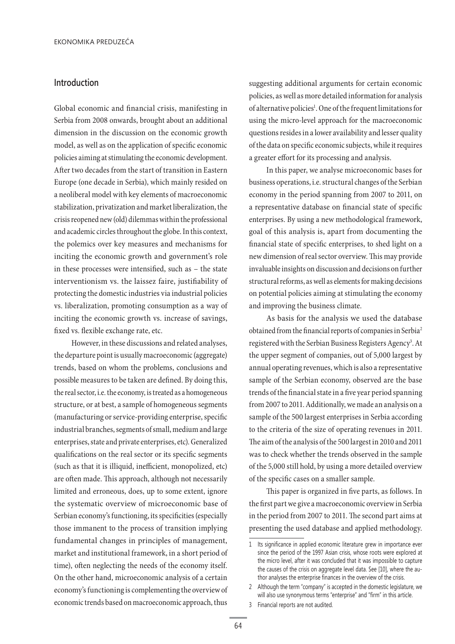## **Introduction**

Global economic and financial crisis, manifesting in Serbia from 2008 onwards, brought about an additional dimension in the discussion on the economic growth model, as well as on the application of specific economic policies aiming at stimulating the economic development. After two decades from the start of transition in Eastern Europe (one decade in Serbia), which mainly resided on a neoliberal model with key elements of macroeconomic stabilization, privatization and market liberalization, the crisis reopened new (old) dilemmas within the professional and academic circles throughout the globe. In this context, the polemics over key measures and mechanisms for inciting the economic growth and government's role in these processes were intensified, such as – the state interventionism vs. the laissez faire, justifiability of protecting the domestic industries via industrial policies vs. liberalization, promoting consumption as a way of inciting the economic growth vs. increase of savings, fixed vs. flexible exchange rate, etc.

However, in these discussions and related analyses, the departure point is usually macroeconomic (aggregate) trends, based on whom the problems, conclusions and possible measures to be taken are defined. By doing this, the real sector, i.e. the economy, is treated as a homogeneous structure, or at best, a sample of homogeneous segments (manufacturing or service-providing enterprise, specific industrial branches, segments of small, medium and large enterprises, state and private enterprises, etc). Generalized qualifications on the real sector or its specific segments (such as that it is illiquid, inefficient, monopolized, etc) are often made. This approach, although not necessarily limited and erroneous, does, up to some extent, ignore the systematic overview of microeconomic base of Serbian economy's functioning, its specificities (especially those immanent to the process of transition implying fundamental changes in principles of management, market and institutional framework, in a short period of time), often neglecting the needs of the economy itself. On the other hand, microeconomic analysis of a certain economy's functioning is complementing the overview of economic trends based on macroeconomic approach, thus

suggesting additional arguments for certain economic policies, as well as more detailed information for analysis of alternative policies<sup>1</sup>. One of the frequent limitations for using the micro-level approach for the macroeconomic questions resides in a lower availability and lesser quality of the data on specific economic subjects, while it requires a greater effort for its processing and analysis.

In this paper, we analyse microeconomic bases for business operations, i.e. structural changes of the Serbian economy in the period spanning from 2007 to 2011, on a representative database on financial state of specific enterprises. By using a new methodological framework, goal of this analysis is, apart from documenting the financial state of specific enterprises, to shed light on a new dimension of real sector overview. This may provide invaluable insights on discussion and decisions on further structural reforms, as well as elements for making decisions on potential policies aiming at stimulating the economy and improving the business climate.

As basis for the analysis we used the database obtained from the financial reports of companies in Serbia2 registered with the Serbian Business Registers Agency<sup>3</sup>. At the upper segment of companies, out of 5,000 largest by annual operating revenues, which is also a representative sample of the Serbian economy, observed are the base trends of the financial state in a five year period spanning from 2007 to 2011. Additionally, we made an analysis on a sample of the 500 largest enterprises in Serbia according to the criteria of the size of operating revenues in 2011. The aim of the analysis of the 500 largest in 2010 and 2011 was to check whether the trends observed in the sample of the 5,000 still hold, by using a more detailed overview of the specific cases on a smaller sample.

This paper is organized in five parts, as follows. In the first part we give a macroeconomic overview in Serbia in the period from 2007 to 2011. The second part aims at presenting the used database and applied methodology.

<sup>1</sup> Its significance in applied economic literature grew in importance ever since the period of the 1997 Asian crisis, whose roots were explored at the micro level, after it was concluded that it was impossible to capture the causes of the crisis on aggregate level data. See [10], where the au thor analyses the enterprise finances in the overview of the crisis.

<sup>2</sup> Although the term "company" is accepted in the domestic legislature, we will also use synonymous terms "enterprise" and "firm" in this article.

<sup>3</sup> Financial reports are not audited.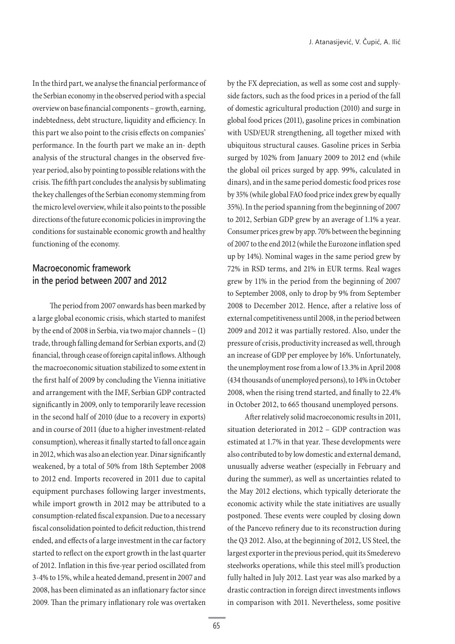In the third part, we analyse the financial performance of the Serbian economy in the observed period with a special overview on base financial components – growth, earning, indebtedness, debt structure, liquidity and efficiency. In this part we also point to the crisis effects on companies' performance. In the fourth part we make an in- depth analysis of the structural changes in the observed fiveyear period, also by pointing to possible relations with the crisis. The fifth part concludes the analysis by sublimating the key challenges of the Serbian economy stemming from the micro level overview, while it also points to the possible directions of the future economic policies in improving the conditions for sustainable economic growth and healthy functioning of the economy.

# Macroeconomic framework in the period between 2007 and 2012

The period from 2007 onwards has been marked by a large global economic crisis, which started to manifest by the end of 2008 in Serbia, via two major channels – (1) trade, through falling demand for Serbian exports, and (2) financial, through cease of foreign capital inflows. Although the macroeconomic situation stabilized to some extent in the first half of 2009 by concluding the Vienna initiative and arrangement with the IMF, Serbian GDP contracted significantly in 2009, only to temporarily leave recession in the second half of 2010 (due to a recovery in exports) and in course of 2011 (due to a higher investment-related consumption), whereas it finally started to fall once again in 2012, which was also an election year. Dinar significantly weakened, by a total of 50% from 18th September 2008 to 2012 end. Imports recovered in 2011 due to capital equipment purchases following larger investments, while import growth in 2012 may be attributed to a consumption-related fiscal expansion. Due to a necessary fiscal consolidation pointed to deficit reduction, this trend ended, and effects of a large investment in the car factory started to reflect on the export growth in the last quarter of 2012. Inflation in this five-year period oscillated from 3-4% to 15%, while a heated demand, present in 2007 and 2008, has been eliminated as an inflationary factor since 2009. Than the primary inflationary role was overtaken

by the FX depreciation, as well as some cost and supplyside factors, such as the food prices in a period of the fall of domestic agricultural production (2010) and surge in global food prices (2011), gasoline prices in combination with USD/EUR strengthening, all together mixed with ubiquitous structural causes. Gasoline prices in Serbia surged by 102% from January 2009 to 2012 end (while the global oil prices surged by app. 99%, calculated in dinars), and in the same period domestic food prices rose by 35% (while global FAO food price index grew by equally 35%). In the period spanning from the beginning of 2007 to 2012, Serbian GDP grew by an average of 1.1% a year. Consumer prices grew by app. 70% between the beginning of 2007 to the end 2012 (while the Eurozone inflation sped up by 14%). Nominal wages in the same period grew by 72% in RSD terms, and 21% in EUR terms. Real wages grew by 11% in the period from the beginning of 2007 to September 2008, only to drop by 9% from September 2008 to December 2012. Hence, after a relative loss of external competitiveness until 2008, in the period between 2009 and 2012 it was partially restored. Also, under the pressure of crisis, productivity increased as well, through an increase of GDP per employee by 16%. Unfortunately, the unemployment rose from a low of 13.3% in April 2008 (434 thousands of unemployed persons), to 14% in October 2008, when the rising trend started, and finally to 22.4% in October 2012, to 665 thousand unemployed persons.

After relatively solid macroeconomic results in 2011, situation deteriorated in 2012 – GDP contraction was estimated at 1.7% in that year. These developments were also contributed to by low domestic and external demand, unusually adverse weather (especially in February and during the summer), as well as uncertainties related to the May 2012 elections, which typically deteriorate the economic activity while the state initiatives are usually postponed. These events were coupled by closing down of the Pancevo refinery due to its reconstruction during the Q3 2012. Also, at the beginning of 2012, US Steel, the largest exporter in the previous period, quit its Smederevo steelworks operations, while this steel mill's production fully halted in July 2012. Last year was also marked by a drastic contraction in foreign direct investments inflows in comparison with 2011. Nevertheless, some positive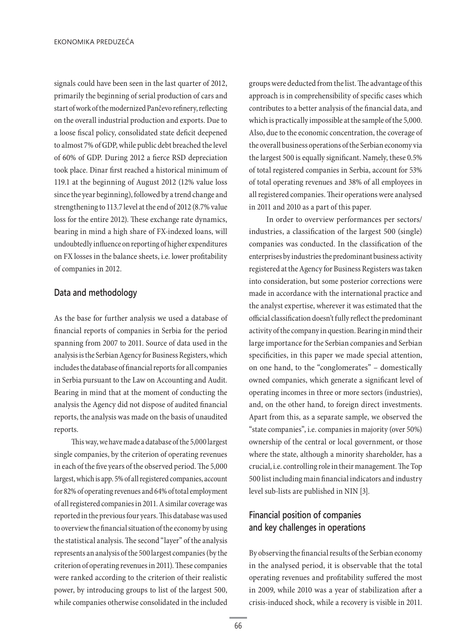signals could have been seen in the last quarter of 2012, primarily the beginning of serial production of cars and start of work of the modernized Pančevo refinery, reflecting on the overall industrial production and exports. Due to a loose fiscal policy, consolidated state deficit deepened to almost 7% of GDP, while public debt breached the level of 60% of GDP. During 2012 a fierce RSD depreciation took place. Dinar first reached a historical minimum of 119.1 at the beginning of August 2012 (12% value loss since the year beginning), followed by a trend change and strengthening to 113.7 level at the end of 2012 (8.7% value loss for the entire 2012). These exchange rate dynamics, bearing in mind a high share of FX-indexed loans, will undoubtedly influence on reporting of higher expenditures on FX losses in the balance sheets, i.e. lower profitability of companies in 2012.

### Data and methodology

As the base for further analysis we used a database of financial reports of companies in Serbia for the period spanning from 2007 to 2011. Source of data used in the analysis is the Serbian Agency for Business Registers, which includes the database of financial reports for all companies in Serbia pursuant to the Law on Accounting and Audit. Bearing in mind that at the moment of conducting the analysis the Agency did not dispose of audited financial reports, the analysis was made on the basis of unaudited reports.

This way, we have made a database of the 5,000 largest single companies, by the criterion of operating revenues in each of the five years of the observed period. The 5,000 largest, which is app. 5% of all registered companies, account for 82% of operating revenues and 64% of total employment of all registered companies in 2011. A similar coverage was reported in the previous four years. This database was used to overview the financial situation of the economy by using the statistical analysis. The second "layer" of the analysis represents an analysis of the 500 largest companies (by the criterion of operating revenues in 2011). These companies were ranked according to the criterion of their realistic power, by introducing groups to list of the largest 500, while companies otherwise consolidated in the included groups were deducted from the list. The advantage of this approach is in comprehensibility of specific cases which contributes to a better analysis of the financial data, and which is practically impossible at the sample of the 5,000. Also, due to the economic concentration, the coverage of the overall business operations of the Serbian economy via the largest 500 is equally significant. Namely, these 0.5% of total registered companies in Serbia, account for 53% of total operating revenues and 38% of all employees in all registered companies. Their operations were analysed in 2011 and 2010 as a part of this paper.

In order to overview performances per sectors/ industries, a classification of the largest 500 (single) companies was conducted. In the classification of the enterprises by industries the predominant business activity registered at the Agency for Business Registers was taken into consideration, but some posterior corrections were made in accordance with the international practice and the analyst expertise, wherever it was estimated that the official classification doesn't fully reflect the predominant activity of the company in question. Bearing in mind their large importance for the Serbian companies and Serbian specificities, in this paper we made special attention, on one hand, to the "conglomerates" – domestically owned companies, which generate a significant level of operating incomes in three or more sectors (industries), and, on the other hand, to foreign direct investments. Apart from this, as a separate sample, we observed the "state companies", i.e. companies in majority (over 50%) ownership of the central or local government, or those where the state, although a minority shareholder, has a crucial, i.e. controlling role in their management. The Top 500 list including main financial indicators and industry level sub-lists are published in NIN [3].

# **Financial position of companies** and key challenges in operations

By observing the financial results of the Serbian economy in the analysed period, it is observable that the total operating revenues and profitability suffered the most in 2009, while 2010 was a year of stabilization after a crisis-induced shock, while a recovery is visible in 2011.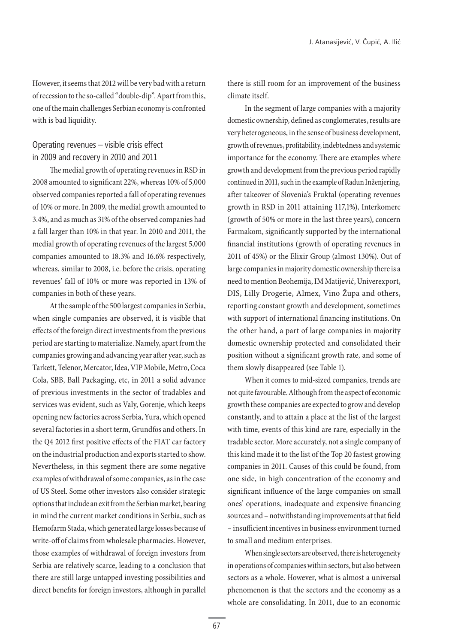However, it seems that 2012 will be very bad with a return of recession to the so-called "double-dip". Apart from this, one of the main challenges Serbian economy is confronted with is bad liquidity.

# Operating revenues – visible crisis effect in 2009 and recovery in 2010 and 2011

The medial growth of operating revenues in RSD in 2008 amounted to significant 22%, whereas 10% of 5,000 observed companies reported a fall of operating revenues of 10% or more. In 2009, the medial growth amounted to 3.4%, and as much as 31% of the observed companies had a fall larger than 10% in that year. In 2010 and 2011, the medial growth of operating revenues of the largest 5,000 companies amounted to 18.3% and 16.6% respectively, whereas, similar to 2008, i.e. before the crisis, operating revenues' fall of 10% or more was reported in 13% of companies in both of these years.

At the sample of the 500 largest companies in Serbia, when single companies are observed, it is visible that effects of the foreign direct investments from the previous period are starting to materialize. Namely, apart from the companies growing and advancing year after year, such as Tarkett, Telenor, Mercator, Idea, VIP Mobile, Metro, Coca Cola, SBB, Ball Packaging, etc, in 2011 a solid advance of previous investments in the sector of tradables and services was evident, such as Valy, Gorenje, which keeps opening new factories across Serbia, Yura, which opened several factories in a short term, Grundfos and others. In the Q4 2012 first positive effects of the FIAT car factory on the industrial production and exports started to show. Nevertheless, in this segment there are some negative examples of withdrawal of some companies, as in the case of US Steel. Some other investors also consider strategic options that include an exit from the Serbian market, bearing in mind the current market conditions in Serbia, such as Hemofarm Stada, which generated large losses because of write-off of claims from wholesale pharmacies. However, those examples of withdrawal of foreign investors from Serbia are relatively scarce, leading to a conclusion that there are still large untapped investing possibilities and direct benefits for foreign investors, although in parallel

there is still room for an improvement of the business climate itself.

In the segment of large companies with a majority domestic ownership, defined as conglomerates, results are very heterogeneous, in the sense of business development, growth of revenues, profitability, indebtedness and systemic importance for the economy. There are examples where growth and development from the previous period rapidly continued in 2011, such in the example of Radun Inženjering, after takeover of Slovenia's Fruktal (operating revenues growth in RSD in 2011 attaining 117,1%), Interkomerc (growth of 50% or more in the last three years), concern Farmakom, significantly supported by the international financial institutions (growth of operating revenues in 2011 of 45%) or the Elixir Group (almost 130%). Out of large companies in majority domestic ownership there is a need to mention Beohemija, IM Matijević, Univerexport, DIS, Lilly Drogerie, Almex, Vino Župa and others, reporting constant growth and development, sometimes with support of international financing institutions. On the other hand, a part of large companies in majority domestic ownership protected and consolidated their position without a significant growth rate, and some of them slowly disappeared (see Table 1).

When it comes to mid-sized companies, trends are not quite favourable. Although from the aspect of economic growth these companies are expected to grow and develop constantly, and to attain a place at the list of the largest with time, events of this kind are rare, especially in the tradable sector. More accurately, not a single company of this kind made it to the list of the Top 20 fastest growing companies in 2011. Causes of this could be found, from one side, in high concentration of the economy and significant influence of the large companies on small ones' operations, inadequate and expensive financing sources and – notwithstanding improvements at that field – insufficient incentives in business environment turned to small and medium enterprises.

When single sectors are observed, there is heterogeneity in operations of companies within sectors, but also between sectors as a whole. However, what is almost a universal phenomenon is that the sectors and the economy as a whole are consolidating. In 2011, due to an economic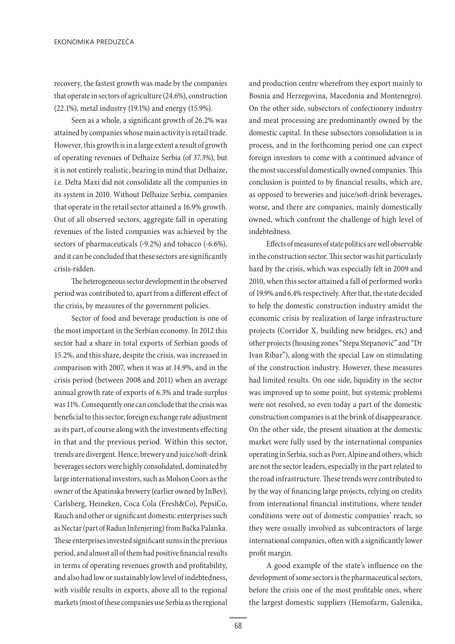recovery, the fastest growth was made by the companies that operate in sectors of agriculture (24.6%), construction (22.1%), metal industry (19.1%) and energy (15.9%).

Seen as a whole, a significant growth of 26.2% was attained by companies whose main activity is retail trade. However, this growth is in a large extent a result of growth of operating revenues of Delhaize Serbia (of 37.3%), but it is not entirely realistic, bearing in mind that Delhaize, i.e. Delta Maxi did not consolidate all the companies in its system in 2010. Without Delhaize Serbia, companies that operate in the retail sector attained a 16.9% growth. Out of all observed sectors, aggregate fall in operating revenues of the listed companies was achieved by the sectors of pharmaceuticals (-9.2%) and tobacco (-6.6%), and it can be concluded that these sectors are significantly crisis-ridden.

The heterogeneous sector development in the observed period was contributed to, apart from a different effect of the crisis, by measures of the government policies.

Sector of food and beverage production is one of the most important in the Serbian economy. In 2012 this sector had a share in total exports of Serbian goods of 15.2%, and this share, despite the crisis, was increased in comparison with 2007, when it was at 14.9%, and in the crisis period (between 2008 and 2011) when an average annual growth rate of exports of 6.3% and trade surplus was 11%. Consequently one can conclude that the crisis was beneficial to this sector, foreign exchange rate adjustment as its part, of course along with the investments effecting in that and the previous period. Within this sector, trends are divergent. Hence, brewery and juice/soft-drink beverages sectors were highly consolidated, dominated by large international investors, such as Molson Coors as the owner of the Apatinska brewery (earlier owned by InBev), Carlsberg, Heineken, Coca Cola (Fresh&Co), PepsiCo, Rauch and other or significant domestic enterprises such as Nectar (part of Radun Inženjering) from Bačka Palanka. These enterprises invested significant sums in the previous period, and almost all of them had positive financial results in terms of operating revenues growth and profitability, and also had low or sustainably low level of indebtedness, with visible results in exports, above all to the regional markets (most of these companies use Serbia as the regional

and production centre wherefrom they export mainly to Bosnia and Herzegovina, Macedonia and Montenegro). On the other side, subsectors of confectionery industry and meat processing are predominantly owned by the domestic capital. In these subsectors consolidation is in process, and in the forthcoming period one can expect foreign investors to come with a continued advance of the most successful domestically owned companies. This conclusion is pointed to by financial results, which are, as opposed to breweries and juice/soft-drink beverages, worse, and there are companies, mainly domestically owned, which confront the challenge of high level of indebtedness.

Effects of measures of state politics are well observable in the construction sector. This sector was hit particularly hard by the crisis, which was especially felt in 2009 and 2010, when this sector attained a fall of performed works of 19.9% and 6.4% respectively. After that, the state decided to help the domestic construction industry amidst the economic crisis by realization of large infrastructure projects (Corridor X, building new bridges, etc) and other projects (housing zones "Stepa Stepanović" and "Dr Ivan Ribar"), along with the special Law on stimulating of the construction industry. However, these measures had limited results. On one side, liquidity in the sector was improved up to some point, but systemic problems were not resolved, so even today a part of the domestic construction companies is at the brink of disappearance. On the other side, the present situation at the domestic market were fully used by the international companies operating in Serbia, such as Porr, Alpine and others, which are not the sector leaders, especially in the part related to the road infrastructure. These trends were contributed to by the way of financing large projects, relying on credits from international financial institutions, where tender conditions were out of domestic companies' reach, so they were usually involved as subcontractors of large international companies, often with a significantly lower profit margin.

A good example of the state's influence on the development of some sectors is the pharmaceutical sectors, before the crisis one of the most profitable ones, where the largest domestic suppliers (Hemofarm, Galenika,

 $68$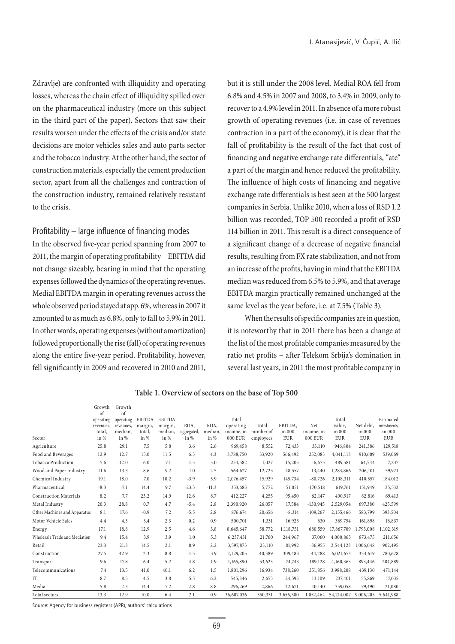Zdravlje) are confronted with illiquidity and operating losses, whereas the chain effect of illiquidity spilled over on the pharmaceutical industry (more on this subject in the third part of the paper). Sectors that saw their results worsen under the effects of the crisis and/or state decisions are motor vehicles sales and auto parts sector and the tobacco industry. At the other hand, the sector of construction materials, especially the cement production sector, apart from all the challenges and contraction of the construction industry, remained relatively resistant to the crisis.

Profitability — large influence of financing modes

In the observed five-year period spanning from 2007 to 2011, the margin of operating profitability – EBITDA did not change sizeably, bearing in mind that the operating expenses followed the dynamics of the operating revenues. Medial EBITDA margin in operating revenues across the whole observed period stayed at app. 6%, whereas in 2007 it amounted to as much as 6.8%, only to fall to 5.9% in 2011. In other words, operating expenses (without amortization) followed proportionally the rise (fall) of operating revenues along the entire five-year period. Profitability, however, fell significantly in 2009 and recovered in 2010 and 2011, but it is still under the 2008 level. Medial ROA fell from 6.8% and 4.5% in 2007 and 2008, to 3.4% in 2009, only to recover to a 4.9% level in 2011. In absence of a more robust growth of operating revenues (i.e. in case of revenues contraction in a part of the economy), it is clear that the fall of profitability is the result of the fact that cost of financing and negative exchange rate differentials, "ate" a part of the margin and hence reduced the profitability. The influence of high costs of financing and negative exchange rate differentials is best seen at the 500 largest companies in Serbia. Unlike 2010, when a loss of RSD 1.2 billion was recorded, TOP 500 recorded a profit of RSD 114 billion in 2011. This result is a direct consequence of a significant change of a decrease of negative financial results, resulting from FX rate stabilization, and not from an increase of the profits, having in mind that the EBITDA median was reduced from 6.5% to 5.9%, and that average EBITDA margin practically remained unchanged at the same level as the year before, i.e. at 7.5% (Table 3).

When the results of specific companies are in question, it is noteworthy that in 2011 there has been a change at the list of the most profitable companies measured by the ratio net profits – after Telekom Srbija's domination in several last years, in 2011 the most profitable company in

|                               | Growth<br>of                             | Growth<br>of                              |                                            |                                             |                             |                         |                                                    |                                 |                                 |                              |                                         |                                   |                                                   |
|-------------------------------|------------------------------------------|-------------------------------------------|--------------------------------------------|---------------------------------------------|-----------------------------|-------------------------|----------------------------------------------------|---------------------------------|---------------------------------|------------------------------|-----------------------------------------|-----------------------------------|---------------------------------------------------|
| Sector                        | operating<br>revenues,<br>total.<br>in % | operating<br>revenues,<br>median.<br>in % | <b>EBITDA</b><br>margin,<br>total,<br>in % | <b>EBITDA</b><br>margin,<br>median,<br>in % | ROA,<br>aggregated,<br>in % | ROA,<br>median.<br>in % | Total<br>operating<br>income, in<br><b>000 EUR</b> | Total<br>number of<br>employees | EBITDA.<br>in 000<br><b>EUR</b> | Net<br>income, in<br>000 EUR | Total<br>value,<br>in 000<br><b>EUR</b> | Net debt,<br>in 000<br><b>EUR</b> | Estimated<br>investments,<br>in 000<br><b>EUR</b> |
| Agriculture                   | 25.8                                     | 29.1                                      | 7.5                                        | 5.8                                         | 3.6                         | 2.6                     | 969,458                                            | 8,552                           | 72,433                          | 33,110                       | 946,804                                 | 241,386                           | 129,518                                           |
| Food and Beverages            | 12.9                                     | 12.7                                      | 15.0                                       | 11.5                                        | 6.3                         | 4.3                     | 3,788,750                                          | 33,920                          | 566,492                         | 252,083                      | 4,041,113                               | 910,689                           | 539,069                                           |
| <b>Tobacco Production</b>     | $-5.6$                                   | $-12.0$                                   | 6.0                                        | 7.1                                         | $-1.3$                      | $-3.0$                  | 254,582                                            | 1,027                           | 15,205                          | $-6,675$                     | 489,581                                 | 64,544                            | 7,237                                             |
| Wood and Paper Industry       | 11.6                                     | 13.3                                      | 8.6                                        | 9.2                                         | 1.0                         | 2.5                     | 564,627                                            | 12,723                          | 48,557                          | 13,440                       | 1,283,866                               | 206,101                           | 59,971                                            |
| Chemical Industry             | 19.1                                     | 18.0                                      | 7.0                                        | 10.2                                        | $-3.9$                      | 5.9                     | 2,076,457                                          | 15,929                          | 145,734                         | $-80,726$                    | 2,108,311                               | 410,557                           | 184,012                                           |
| Pharmaceutical                | $-8.3$                                   | $-7.1$                                    | 14.4                                       | 9.7                                         | $-23.5$                     | $-11.3$                 | 353,683                                            | 5,772                           | 51,051                          | $-170,518$                   | 619,761                                 | 151,949                           | 25,532                                            |
| <b>Construction Materials</b> | 8.2                                      | 7.7                                       | 23.2                                       | 14.9                                        | 12.6                        | 8.7                     | 412,227                                            | 4,255                           | 95,450                          | 62,147                       | 490,917                                 | 82,816                            | 69,413                                            |
| Metal Industry                | 20.3                                     | 28.8                                      | 0.7                                        | 4.7                                         | $-5.4$                      | 2.8                     | 2,390,920                                          | 26,057                          | 17,584                          | $-130,945$                   | 2,529,054                               | 697,380                           | 425,599                                           |
| Other Machines and Apparatus  | 8.1                                      | 17.6                                      | $-0.9$                                     | 7.2                                         | $-5.5$                      | 2.8                     | 876,674                                            | 20,656                          | $-8,314$                        | $-109,267$                   | 2,155,466                               | 583,799                           | 393,504                                           |
| Motor Vehicle Sales           | 4.4                                      | 4.3                                       | 3.4                                        | 2.3                                         | 0.2                         | 0.9                     | 500,701                                            | 1,331                           | 16,925                          | 630                          | 369,754                                 | 161,898                           | 16,837                                            |
| Energy                        | 17.1                                     | 18.8                                      | 12.9                                       | 2.5                                         | 4.6                         | 3.8                     | 8,645,647                                          | 58,772                          | 1,118,751                       | 680,559                      | 17,867,709                              | 1,793,008                         | 1,102,319                                         |
| Wholesale Trade and Mediation | 9.4                                      | 15.4                                      | 3.9                                        | 3.9                                         | 1.0                         | 5.3                     | 6,237,431                                          | 21,760                          | 244,967                         | 37,060                       | 4,000,863                               | 873,475                           | 211,656                                           |
| Retail                        | 23.3                                     | 21.3                                      | 14.5                                       | 2.1                                         | 0.9                         | 2.2                     | 3,597,873                                          | 23,110                          | 81,992                          | $-36,955$                    | 2,544,123                               | 1,006,048                         | 902,495                                           |
| Construction                  | 27.5                                     | 42.9                                      | 2.3                                        | 8.8                                         | $-1.5$                      | 3.9                     | 2,129,205                                          | 40,389                          | 309,483                         | 44,288                       | 6,021,653                               | 354,619                           | 780,678                                           |
| Transport                     | 9.6                                      | 17.8                                      | 6.4                                        | 5.2                                         | 4.8                         | 1.9                     | 1,165,890                                          | 53,623                          | 74,743                          | 189,128                      | 4,160,365                               | 893,446                           | 284,889                                           |
| Telecommunications            | 7.4                                      | 13.5                                      | 41.0                                       | 40.1                                        | 6.2                         | 1.5                     | 1,801,296                                          | 16,934                          | 738,260                         | 251,856                      | 3,988,208                               | 439,130                           | 471,144                                           |
| IT                            | 8.7                                      | 8.5                                       | 4.5                                        | 3.8                                         | 5.5                         | 6.2                     | 545,346                                            | 2,655                           | 24,595                          | 13,109                       | 237,401                                 | 55,869                            | 17,035                                            |
| Media                         | 5.8                                      | 2.3                                       | 14.4                                       | 7.2                                         | 2.8                         | 8.8                     | 296,269                                            | 2,866                           | 42,671                          | 10,140                       | 359,058                                 | 79,490                            | 21,080                                            |
| Total sectors                 | 13.3                                     | 12.9                                      | 10.0                                       | 6.4                                         | 2.1                         | 0.9                     | 36,607,036                                         | 350,331                         | 3,656,580                       | 1,052,464                    | 54,214,007                              | 9,006,205                         | 5,641,988                                         |

**Table 1. Overview of sectors on the base of Top 500**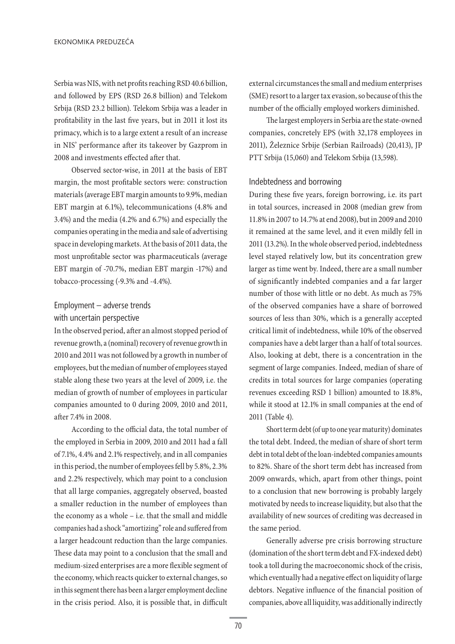Serbia was NIS, with net profits reaching RSD 40.6 billion, and followed by EPS (RSD 26.8 billion) and Telekom Srbija (RSD 23.2 billion). Telekom Srbija was a leader in profitability in the last five years, but in 2011 it lost its primacy, which is to a large extent a result of an increase in NIS' performance after its takeover by Gazprom in 2008 and investments effected after that.

Observed sector-wise, in 2011 at the basis of EBT margin, the most profitable sectors were: construction materials (average EBT margin amounts to 9.9%, median EBT margin at 6.1%), telecommunications (4.8% and 3.4%) and the media (4.2% and 6.7%) and especially the companies operating in the media and sale of advertising space in developing markets. At the basis of 2011 data, the most unprofitable sector was pharmaceuticals (average EBT margin of -70.7%, median EBT margin -17%) and tobacco-processing (-9.3% and -4.4%).

# Employment – adverse trends with uncertain perspective

In the observed period, after an almost stopped period of revenue growth, a (nominal) recovery of revenue growth in 2010 and 2011 was not followed by a growth in number of employees, but the median of number of employees stayed stable along these two years at the level of 2009, i.e. the median of growth of number of employees in particular companies amounted to 0 during 2009, 2010 and 2011, after 7.4% in 2008.

According to the official data, the total number of the employed in Serbia in 2009, 2010 and 2011 had a fall of 7.1%, 4.4% and 2.1% respectively, and in all companies in this period, the number of employees fell by 5.8%, 2.3% and 2.2% respectively, which may point to a conclusion that all large companies, aggregately observed, boasted a smaller reduction in the number of employees than the economy as a whole – i.e. that the small and middle companies had a shock "amortizing" role and suffered from a larger headcount reduction than the large companies. These data may point to a conclusion that the small and medium-sized enterprises are a more flexible segment of the economy, which reacts quicker to external changes, so in this segment there has been a larger employment decline in the crisis period. Also, it is possible that, in difficult

external circumstances the small and medium enterprises (SME) resort to a larger tax evasion, so because of this the number of the officially employed workers diminished.

The largest employers in Serbia are the state-owned companies, concretely EPS (with 32,178 employees in 2011), Železnice Srbije (Serbian Railroads) (20,413), JP PTT Srbija (15,060) and Telekom Srbija (13,598).

### Indebtedness and borrowing

During these five years, foreign borrowing, i.e. its part in total sources, increased in 2008 (median grew from 11.8% in 2007 to 14.7% at end 2008), but in 2009 and 2010 it remained at the same level, and it even mildly fell in 2011 (13.2%). In the whole observed period, indebtedness level stayed relatively low, but its concentration grew larger as time went by. Indeed, there are a small number of significantly indebted companies and a far larger number of those with little or no debt. As much as 75% of the observed companies have a share of borrowed sources of less than 30%, which is a generally accepted critical limit of indebtedness, while 10% of the observed companies have a debt larger than a half of total sources. Also, looking at debt, there is a concentration in the segment of large companies. Indeed, median of share of credits in total sources for large companies (operating revenues exceeding RSD 1 billion) amounted to 18.8%, while it stood at 12.1% in small companies at the end of 2011 (Table 4).

Short term debt (of up to one year maturity) dominates the total debt. Indeed, the median of share of short term debt in total debt of the loan-indebted companies amounts to 82%. Share of the short term debt has increased from 2009 onwards, which, apart from other things, point to a conclusion that new borrowing is probably largely motivated by needs to increase liquidity, but also that the availability of new sources of crediting was decreased in the same period.

Generally adverse pre crisis borrowing structure (domination of the short term debt and FX-indexed debt) took a toll during the macroeconomic shock of the crisis, which eventually had a negative effect on liquidity of large debtors. Negative influence of the financial position of companies, above all liquidity, was additionally indirectly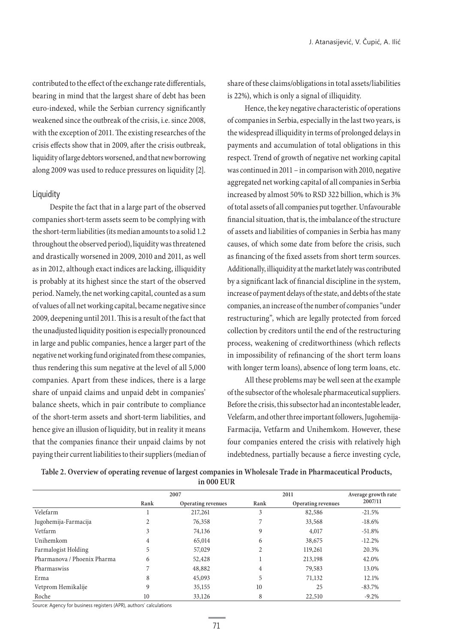contributed to the effect of the exchange rate differentials, bearing in mind that the largest share of debt has been euro-indexed, while the Serbian currency significantly weakened since the outbreak of the crisis, i.e. since 2008, with the exception of 2011. The existing researches of the crisis effects show that in 2009, after the crisis outbreak, liquidity of large debtors worsened, and that new borrowing along 2009 was used to reduce pressures on liquidity [2].

#### Liquidity

Despite the fact that in a large part of the observed companies short-term assets seem to be complying with the short-term liabilities (its median amounts to a solid 1.2 throughout the observed period), liquidity was threatened and drastically worsened in 2009, 2010 and 2011, as well as in 2012, although exact indices are lacking, illiquidity is probably at its highest since the start of the observed period. Namely, the net working capital, counted as a sum of values of all net working capital, became negative since 2009, deepening until 2011. This is a result of the fact that the unadjusted liquidity position is especially pronounced in large and public companies, hence a larger part of the negative net working fund originated from these companies, thus rendering this sum negative at the level of all 5,000 companies. Apart from these indices, there is a large share of unpaid claims and unpaid debt in companies' balance sheets, which in pair contribute to compliance of the short-term assets and short-term liabilities, and hence give an illusion of liquidity, but in reality it means that the companies finance their unpaid claims by not paying their current liabilities to their suppliers (median of

share of these claims/obligations in total assets/liabilities is 22%), which is only a signal of illiquidity.

Hence, the key negative characteristic of operations of companies in Serbia, especially in the last two years, is the widespread illiquidity in terms of prolonged delays in payments and accumulation of total obligations in this respect. Trend of growth of negative net working capital was continued in 2011 – in comparison with 2010, negative aggregated net working capital of all companies in Serbia increased by almost 50% to RSD 322 billion, which is 3% of total assets of all companies put together. Unfavourable financial situation, that is, the imbalance of the structure of assets and liabilities of companies in Serbia has many causes, of which some date from before the crisis, such as financing of the fixed assets from short term sources. Additionally, illiquidity at the market lately was contributed by a significant lack of financial discipline in the system, increase of payment delays of the state, and debts of the state companies, an increase of the number of companies "under restructuring", which are legally protected from forced collection by creditors until the end of the restructuring process, weakening of creditworthiness (which reflects in impossibility of refinancing of the short term loans with longer term loans), absence of long term loans, etc.

All these problems may be well seen at the example of the subsector of the wholesale pharmaceutical suppliers. Before the crisis, this subsector had an incontestable leader, Velefarm, and other three important followers, Jugohemija-Farmacija, Vetfarm and Unihemkom. However, these four companies entered the crisis with relatively high indebtedness, partially because a fierce investing cycle,

| III VVV LUIN                |      |                    |      |                     |           |  |  |  |  |
|-----------------------------|------|--------------------|------|---------------------|-----------|--|--|--|--|
|                             |      | 2007               |      | Average growth rate |           |  |  |  |  |
|                             | Rank | Operating revenues | Rank | Operating revenues  | 2007/11   |  |  |  |  |
| Velefarm                    |      | 217,261            | 3    | 82,586              | $-21.5%$  |  |  |  |  |
| Jugohemija-Farmacija        |      | 76,358             |      | 33,568              | $-18.6%$  |  |  |  |  |
| Vetfarm                     | 3    | 74,136             | 9    | 4,017               | $-51.8%$  |  |  |  |  |
| Unihemkom                   | 4    | 65,014             | 6    | 38,675              | $-12.2\%$ |  |  |  |  |
| Farmalogist Holding         | 5    | 57,029             | 2    | 119,261             | 20.3%     |  |  |  |  |
| Pharmanova / Phoenix Pharma | 6    | 52,428             |      | 213,198             | 42.0%     |  |  |  |  |
| Pharmaswiss                 |      | 48,882             | 4    | 79,583              | 13.0%     |  |  |  |  |
| Erma                        | 8    | 45,093             | 5    | 71,132              | 12.1%     |  |  |  |  |
| Vetprom Hemikalije          | 9    | 35,155             | 10   | 25                  | $-83.7\%$ |  |  |  |  |
| Roche                       | 10   | 33,126             | 8    | 22,510              | $-9.2\%$  |  |  |  |  |

**Table 2. Overview of operating revenue of largest companies in Wholesale Trade in Pharmaceutical Products, in 000 EUR**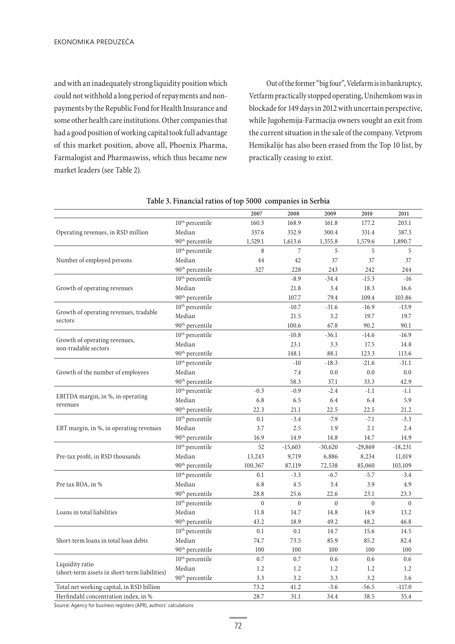and with an inadequately strong liquidity position which could not withhold a long period of repayments and nonpayments by the Republic Fond for Health Insurance and some other health care institutions. Other companies that had a good position of working capital took full advantage of this market position, above all, Phoenix Pharma, Farmalogist and Pharmaswiss, which thus became new market leaders (see Table 2).

Out of the former "big four", Velefarm is in bankruptcy, Vetfarm practically stopped operating, Unihemkom was in blockade for 149 days in 2012 with uncertain perspective, while Jugohemija-Farmacija owners sought an exit from the current situation in the sale of the company. Vetprom Hemikalije has also been erased from the Top 10 list, by practically ceasing to exist.

|                                                                  |                             | 2007         | 2008             | 2009         | 2010         | 2011         |
|------------------------------------------------------------------|-----------------------------|--------------|------------------|--------------|--------------|--------------|
|                                                                  | 10 <sup>th</sup> percentile | 160.3        | 168.9            | 161.8        | 177.2        | 203.1        |
| Operating revenues, in RSD million                               | Median                      | 337.6        | 352.9            | 300.4        | 331.4        | 387.3        |
|                                                                  | 90 <sup>th</sup> percentile | 1,529.1      | 1,613.6          | 1,355.8      | 1,579.6      | 1,890.7      |
|                                                                  | $10^{\rm th}$ percentile    | 8            | 7                | 5            | 5            | 5            |
| Number of employed persons                                       | Median                      | 44           | 42               | 37           | 37           | 37           |
|                                                                  | 90 <sup>th</sup> percentile | 327          | 228              | 243          | 242          | 244          |
|                                                                  | 10 <sup>th</sup> percentile |              | $-8.9$           | $-34.4$      | $-15.3$      | $-16$        |
| Growth of operating revenues                                     | Median                      |              | 21.8             | 3.4          | 18.3         | 16.6         |
|                                                                  | 90 <sup>th</sup> percentile |              | 107.7            | 79.4         | 109.4        | 103.86       |
|                                                                  | 10 <sup>th</sup> percentile |              | $-10.7$          | $-31.6$      | $-16.9$      | $-13.9$      |
| Growth of operating revenues, tradable                           | Median                      |              | 21.5             | 3.2          | 19.7         | 19.7         |
| sectors                                                          | 90 <sup>th</sup> percentile |              | 100.6            | 67.8         | 90.2         | 90.1         |
|                                                                  | $10^{\rm th}$ percentile    |              | $-10.8$          | $-36.1$      | $-14.6$      | $-16.9$      |
| Growth of operating revenues,<br>non-tradable sectors            | Median                      |              | 23.1             | 3.3          | 17.5         | 14.8         |
|                                                                  | 90 <sup>th</sup> percentile |              | 148.1            | 88.1         | 123.3        | 113.6        |
|                                                                  | 10 <sup>th</sup> percentile |              | $-10$            | $-18.3$      | $-21.6$      | $-31.1$      |
| Growth of the number of employees                                | Median                      |              | 7.4              | 0.0          | $0.0\,$      | 0.0          |
|                                                                  | 90 <sup>th</sup> percentile |              | 58.3             | 37.1         | 33.3         | 42.9         |
|                                                                  | $10^{\rm th}$ percentile    | $-0.3$       | $-0.9$           | $-2.4$       | $-1.1$       | $-1.1$       |
| EBITDA margin, in %, in operating                                | Median                      | 6.8          | 6.5              | 6.4          | 6.4          | 5.9          |
| revenues                                                         | 90 <sup>th</sup> percentile | 22.3         | 21.1             | 22.5         | 22.5         | 21.2         |
|                                                                  | $10^{\rm th}$ percentile    | $0.1\,$      | $-3.4$           | $-7.9$       | $-7.1$       | $-3.3$       |
| EBT margin, in %, in operating revenues                          | Median                      | 3.7          | 2.5              | 1.9          | 2.1          | 2.4          |
|                                                                  | 90 <sup>th</sup> percentile | 16.9         | 14.9             | 14.8         | 14.7         | 14.9         |
|                                                                  | 10 <sup>th</sup> percentile | 52           | $-15,603$        | $-30,620$    | $-29,869$    | $-18,231$    |
| Pre-tax profit, in RSD thousands                                 | Median                      | 13,243       | 9,719            | 6,886        | 8,234        | 11,019       |
|                                                                  | 90 <sup>th</sup> percentile | 100,367      | 87,119           | 72,538       | 85,060       | 103,109      |
|                                                                  | 10 <sup>th</sup> percentile | 0.1          | $-3.3$           | $-6.7$       | $-5.7$       | $-3.4$       |
| Pre tax ROA, in %                                                | Median                      | 6.8          | 4.5              | 3.4          | 3.9          | 4.9          |
|                                                                  | 90 <sup>th</sup> percentile | 28.8         | 25.6             | 22.6         | 23.1         | 23.3         |
|                                                                  | $10^{\rm th}$ percentile    | $\mathbf{0}$ | $\boldsymbol{0}$ | $\mathbf{0}$ | $\mathbf{0}$ | $\mathbf{0}$ |
| Loans in total liabilities                                       | Median                      | 11.8         | 14.7             | 14.8         | 14.9         | 13.2         |
|                                                                  | 90 <sup>th</sup> percentile | 43.2         | 18.9             | 49.2         | 48.2         | 46.8         |
|                                                                  | 10 <sup>th</sup> percentile | 0.1          | 0.1              | 14.7         | 15.6         | 14.5         |
| Short-term loans in total loan debts                             | Median                      | 74.7         | 73.5             | 85.9         | 85.2         | 82.4         |
|                                                                  | 90 <sup>th</sup> percentile | 100          | 100              | 100          | 100          | 100          |
|                                                                  | $10^{\rm th}$ percentile    | 0.7          | $0.7\,$          | 0.6          | 0.6          | 0.6          |
| Liquidity ratio<br>(short-term assets in short-term liabilities) | Median                      | 1.2          | 1.2              | 1.2          | 1.2          | 1.2          |
|                                                                  | 90 <sup>th</sup> percentile | 3.3          | 3.2              | 3.3          | 3.2          | 3.6          |
| Total net working capital, in RSD billion                        |                             | 73.2         | 41.2             | $-3.6$       | $-56.5$      | $-117.0$     |
| Herfindahl concentration index, in %                             |                             | 28.7         | 31.1             | 34.4         | 38.5         | 35.4         |

### **Table 3. Financial ratios of top 5000 companies in Serbia**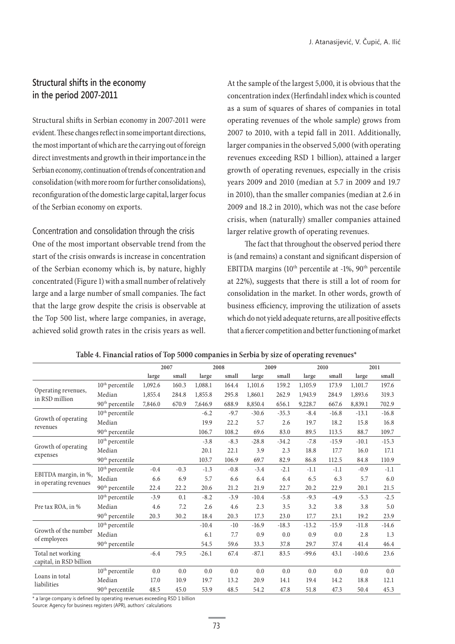# **Structural shifts in the economy in the period 2007-2011**

Structural shifts in Serbian economy in 2007-2011 were evident. These changes reflect in some important directions, the most important of which are the carrying out of foreign direct investments and growth in their importance in the Serbian economy, continuation of trends of concentration and consolidation (with more room for further consolidations), reconfiguration of the domestic large capital, larger focus of the Serbian economy on exports.

Concentration and consolidation through the crisis One of the most important observable trend from the start of the crisis onwards is increase in concentration of the Serbian economy which is, by nature, highly concentrated (Figure 1) with a small number of relatively large and a large number of small companies. The fact that the large grow despite the crisis is observable at the Top 500 list, where large companies, in average, achieved solid growth rates in the crisis years as well.

At the sample of the largest 5,000, it is obvious that the concentration index (Herfindahl index which is counted as a sum of squares of shares of companies in total operating revenues of the whole sample) grows from 2007 to 2010, with a tepid fall in 2011. Additionally, larger companies in the observed 5,000 (with operating revenues exceeding RSD 1 billion), attained a larger growth of operating revenues, especially in the crisis years 2009 and 2010 (median at 5.7 in 2009 and 19.7 in 2010), than the smaller companies (median at 2.6 in 2009 and 18.2 in 2010), which was not the case before crisis, when (naturally) smaller companies attained larger relative growth of operating revenues.

The fact that throughout the observed period there is (and remains) a constant and significant dispersion of EBITDA margins  $(10<sup>th</sup>$  percentile at  $-1\%$ ,  $90<sup>th</sup>$  percentile at 22%), suggests that there is still a lot of room for consolidation in the market. In other words, growth of business efficiency, improving the utilization of assets which do not yield adequate returns, are all positive effects that a fiercer competition and better functioning of market

|                                               |                             | 2007    |                         | 2008    |        | 2009    |         | 2010           |         | 2011           |         |
|-----------------------------------------------|-----------------------------|---------|-------------------------|---------|--------|---------|---------|----------------|---------|----------------|---------|
|                                               |                             | large   | small<br>small<br>large |         | large  | small   |         | small<br>large |         | small<br>large |         |
|                                               | 10 <sup>th</sup> percentile | 1,092.6 | 160.3                   | 1,088.1 | 164.4  | 1,101.6 | 159.2   | 1,105.9        | 173.9   | 1,101.7        | 197.6   |
| Operating revenues,<br>in RSD million         | Median                      | 1,855.4 | 284.8                   | 1,855.8 | 295.8  | 1,860.1 | 262.9   | 1,943.9        | 284.9   | 1,893.6        | 319.3   |
|                                               | 90 <sup>th</sup> percentile | 7,846.0 | 670.9                   | 7,646.9 | 688.9  | 8,850.4 | 656.1   | 9,228.7        | 667.6   | 8,839.1        | 702.9   |
|                                               | 10 <sup>th</sup> percentile |         |                         | $-6.2$  | $-9.7$ | $-30.6$ | $-35.3$ | $-8.4$         | $-16.8$ | $-13.1$        | $-16.8$ |
| Growth of operating<br>revenues               | Median                      |         |                         | 19.9    | 22.2   | 5.7     | 2.6     | 19.7           | 18.2    | 15.8           | 16.8    |
|                                               | 90 <sup>th</sup> percentile |         |                         | 106.7   | 108.2  | 69.6    | 83.0    | 89.5           | 113.5   | 88.7           | 109.7   |
|                                               | 10 <sup>th</sup> percentile |         |                         | $-3.8$  | $-8.3$ | $-28.8$ | $-34.2$ | $-7.8$         | $-15.9$ | $-10.1$        | $-15.3$ |
| Growth of operating<br>expenses               | Median                      |         |                         | 20.1    | 22.1   | 3.9     | 2.3     | 18.8           | 17.7    | 16.0           | 17.1    |
|                                               | $90th$ percentile           |         |                         | 103.7   | 106.9  | 69.7    | 82.9    | 86.8           | 112.5   | 84.8           | 110.9   |
| EBITDA margin, in %,<br>in operating revenues | $10^{\text{th}}$ percentile | $-0.4$  | $-0.3$                  | $-1.3$  | $-0.8$ | $-3.4$  | $-2.1$  | $-1.1$         | $-1.1$  | $-0.9$         | $-1.1$  |
|                                               | Median                      | 6.6     | 6.9                     | 5.7     | 6.6    | 6.4     | 6.4     | 6.5            | 6.3     | 5.7            | 6.0     |
|                                               | 90 <sup>th</sup> percentile | 22.4    | 22.2                    | 20.6    | 21.2   | 21.9    | 22.7    | 20.2           | 22.9    | 20.1           | 21.5    |
|                                               | 10 <sup>th</sup> percentile | $-3.9$  | 0.1                     | $-8.2$  | $-3.9$ | $-10.4$ | $-5.8$  | $-9.3$         | $-4.9$  | $-5.3$         | $-2.5$  |
| Pre tax ROA, in %                             | Median                      | 4.6     | 7.2                     | 2.6     | 4.6    | 2.3     | 3.5     | 3.2            | 3.8     | 3.8            | 5.0     |
|                                               | $90th$ percentile           | 20.3    | 30.2                    | 18.4    | 20.3   | 17.3    | 23.0    | 17.7           | 23.1    | 19.2           | 23.9    |
|                                               | 10 <sup>th</sup> percentile |         |                         | $-10.4$ | $-10$  | $-16.9$ | $-18.3$ | $-13.2$        | $-15.9$ | $-11.8$        | $-14.6$ |
| Growth of the number<br>of employees          | Median                      |         |                         | 6.1     | 7.7    | 0.9     | 0.0     | 0.9            | 0.0     | 2.8            | 1.3     |
|                                               | 90 <sup>th</sup> percentile |         |                         | 54.5    | 59.6   | 33.3    | 37.8    | 29.7           | 37.4    | 41.4           | 46.4    |
| Total net working                             |                             | $-6.4$  | 79.5                    | $-26.1$ | 67.4   | $-87.1$ | 83.5    | $-99.6$        | 43.1    | $-140.6$       | 23.6    |
| capital, in RSD billion                       |                             |         |                         |         |        |         |         |                |         |                |         |
| Loans in total                                | 10 <sup>th</sup> percentile | 0.0     | 0.0                     | 0.0     | 0.0    | 0.0     | 0.0     | 0.0            | 0.0     | 0.0            | 0.0     |
| liabilities                                   | Median                      | 17.0    | 10.9                    | 19.7    | 13.2   | 20.9    | 14.1    | 19.4           | 14.2    | 18.8           | 12.1    |
| $\sim$ $\sim$ $\sim$                          | 90 <sup>th</sup> percentile | 48.5    | 45.0                    | 53.9    | 48.5   | 54.2    | 47.8    | 51.8           | 47.3    | 50.4           | 45.3    |

#### **Table 4. Financial ratios of Top 5000 companies in Serbia by size of operating revenues\***

\* a large company is defined by operating revenues exceeding RSD 1 billion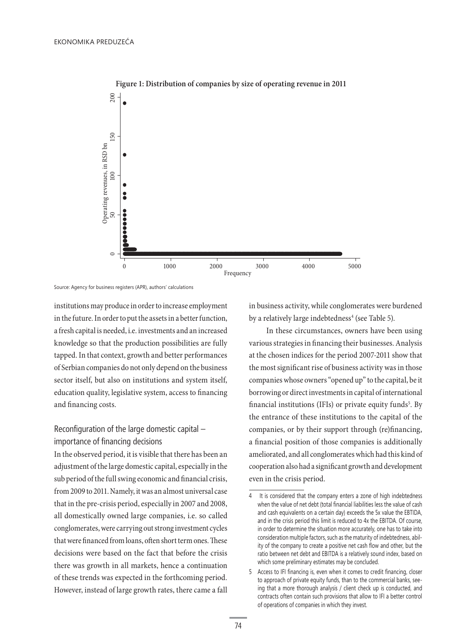

### **Figure 1: Distribution of companies by size of operating revenue in 2011**

Source: Agency for business registers (APR), authors' calculations

institutions may produce in order to increase employment in the future. In order to put the assets in a better function, a fresh capital is needed, i.e. investments and an increased knowledge so that the production possibilities are fully tapped. In that context, growth and better performances of Serbian companies do not only depend on the business sector itself, but also on institutions and system itself, education quality, legislative system, access to financing and financing costs.

# Reconfiguration of the large domestic capital  $$ importance of financing decisions

In the observed period, it is visible that there has been an adjustment of the large domestic capital, especially in the sub period of the full swing economic and financial crisis, from 2009 to 2011. Namely, it was an almost universal case that in the pre-crisis period, especially in 2007 and 2008, all domestically owned large companies, i.e. so called conglomerates, were carrying out strong investment cycles that were financed from loans, often short term ones. These decisions were based on the fact that before the crisis there was growth in all markets, hence a continuation of these trends was expected in the forthcoming period. However, instead of large growth rates, there came a fall

in business activity, while conglomerates were burdened by a relatively large indebtedness<sup>4</sup> (see Table 5).

In these circumstances, owners have been using various strategies in financing their businesses. Analysis at the chosen indices for the period 2007-2011 show that the most significant rise of business activity was in those companies whose owners "opened up" to the capital, be it borrowing or direct investments in capital of international financial institutions (IFIs) or private equity funds<sup>5</sup>. By the entrance of these institutions to the capital of the companies, or by their support through (re)financing, a financial position of those companies is additionally ameliorated, and all conglomerates which had this kind of cooperation also had a significant growth and development even in the crisis period.

It is considered that the company enters a zone of high indebtedness when the value of net debt (total financial liabilities less the value of cash and cash equivalents on a certain day) exceeds the 5x value the EBTIDA, and in the crisis period this limit is reduced to 4x the EBITDA. Of course, in order to determine the situation more accurately, one has to take into consideration multiple factors, such as the maturity of indebtedness, abil ity of the company to create a positive net cash flow and other, but the ratio between net debt and EBITDA is a relatively sound index, based on which some preliminary estimates may be concluded.

<sup>5</sup> Access to IFI financing is, even when it comes to credit financing, closer to approach of private equity funds, than to the commercial banks, seeing that a more thorough analysis / client check up is conducted, and contracts often contain such provisions that allow to IFI a better control of operations of companies in which they invest.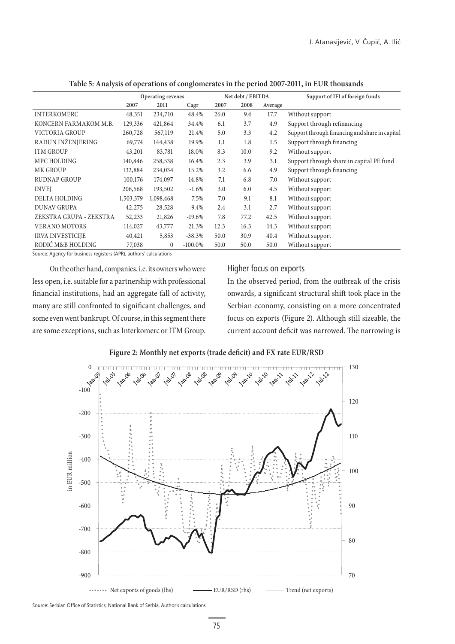|                         | Operating revenes |                | Net debt / EBITDA |      | Support of IFI of foreign funds |         |                                                |
|-------------------------|-------------------|----------------|-------------------|------|---------------------------------|---------|------------------------------------------------|
|                         | 2007              | 2011           | Cagr              | 2007 | 2008                            | Average |                                                |
| <b>INTERKOMERC</b>      | 48,351            | 234,710        | 48.4%             | 26.0 | 9.4                             | 17.7    | Without support                                |
| KONCERN FARMAKOM M.B.   | 129,336           | 421,864        | 34.4%             | 6.1  | 3.7                             | 4.9     | Support through refinancing                    |
| <b>VICTORIA GROUP</b>   | 260,728           | 567,119        | 21.4%             | 5.0  | 3.3                             | 4.2     | Support through financing and share in capital |
| RADUN INŽENJERING       | 69,774            | 144,438        | 19.9%             | 1.1  | 1.8                             | 1.5     | Support through financing                      |
| <b>ITM GROUP</b>        | 43,201            | 83,781         | 18.0%             | 8.3  | 10.0                            | 9.2     | Without support                                |
| MPC HOLDING             | 140,846           | 258,538        | 16.4%             | 2.3  | 3.9                             | 3.1     | Support through share in capital PE fund       |
| <b>MK GROUP</b>         | 132,884           | 234,034        | 15.2%             | 3.2  | 6.6                             | 4.9     | Support through financing                      |
| RUDNAP GROUP            | 100,176           | 174,097        | 14.8%             | 7.1  | 6.8                             | 7.0     | Without support                                |
| <b>INVEJ</b>            | 206,568           | 193,502        | $-1.6\%$          | 3.0  | 6.0                             | 4.5     | Without support                                |
| <b>DELTA HOLDING</b>    | 1,503,379         | 1,098,468      | $-7.5\%$          | 7.0  | 9.1                             | 8.1     | Without support                                |
| <b>DUNAV GRUPA</b>      | 42,275            | 28,528         | $-9.4\%$          | 2.4  | 3.1                             | 2.7     | Without support                                |
| ZEKSTRA GRUPA - ZEKSTRA | 52,233            | 21,826         | $-19.6%$          | 7.8  | 77.2                            | 42.5    | Without support                                |
| <b>VERANO MOTORS</b>    | 114,027           | 43,777         | $-21.3%$          | 12.3 | 16.3                            | 14.3    | Without support                                |
| <b>IRVA INVESTICIJE</b> | 40,421            | 5,853          | $-38.3%$          | 50.0 | 30.9                            | 40.4    | Without support                                |
| RODIĆ M&B HOLDING       | 77,038            | $\overline{0}$ | $-100.0\%$        | 50.0 | 50.0                            | 50.0    | Without support                                |

**Table 5: Analysis of operations of conglomerates in the period 2007-2011, in EUR thousands**

Source: Agency for business registers (APR), authors' calculations

On the other hand, companies, i.e. its owners who were less open, i.e. suitable for a partnership with professional financial institutions, had an aggregate fall of activity, many are still confronted to significant challenges, and some even went bankrupt. Of course, in this segment there are some exceptions, such as Interkomerc or ITM Group.

### Higher focus on exports

In the observed period, from the outbreak of the crisis onwards, a significant structural shift took place in the Serbian economy, consisting on a more concentrated focus on exports (Figure 2). Although still sizeable, the current account deficit was narrowed. The narrowing is



### **Figure 2: Monthly net exports (trade deficit) and FX rate EUR/RSD**

Source: Serbian Office of Statistics, National Bank of Serbia, Author's calculations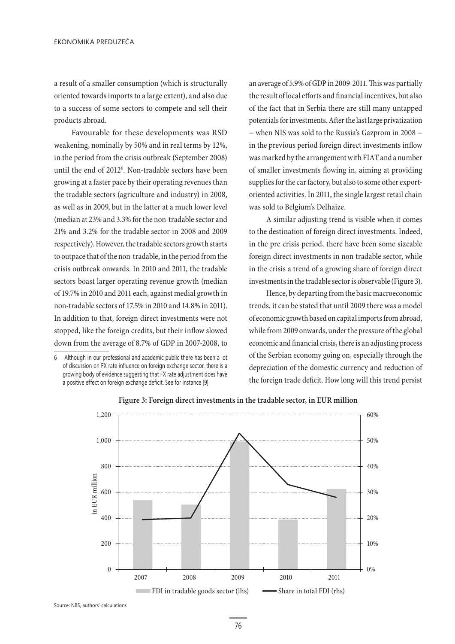a result of a smaller consumption (which is structurally oriented towards imports to a large extent), and also due to a success of some sectors to compete and sell their products abroad.

Favourable for these developments was RSD weakening, nominally by 50% and in real terms by 12%, in the period from the crisis outbreak (September 2008) until the end of 20126 . Non-tradable sectors have been growing at a faster pace by their operating revenues than the tradable sectors (agriculture and industry) in 2008, as well as in 2009, but in the latter at a much lower level (median at 23% and 3.3% for the non-tradable sector and 21% and 3.2% for the tradable sector in 2008 and 2009 respectively). However, the tradable sectors growth starts to outpace that of the non-tradable, in the period from the crisis outbreak onwards. In 2010 and 2011, the tradable sectors boast larger operating revenue growth (median of 19.7% in 2010 and 2011 each, against medial growth in non-tradable sectors of 17.5% in 2010 and 14.8% in 2011). In addition to that, foreign direct investments were not stopped, like the foreign credits, but their inflow slowed down from the average of 8.7% of GDP in 2007-2008, to

an average of 5.9% of GDP in 2009-2011. This was partially the result of local efforts and financial incentives, but also of the fact that in Serbia there are still many untapped potentials for investments. After the last large privatization − when NIS was sold to the Russia's Gazprom in 2008 − in the previous period foreign direct investments inflow was marked by the arrangement with FIAT and a number of smaller investments flowing in, aiming at providing supplies for the car factory, but also to some other exportoriented activities. In 2011, the single largest retail chain was sold to Belgium's Delhaize.

A similar adjusting trend is visible when it comes to the destination of foreign direct investments. Indeed, in the pre crisis period, there have been some sizeable foreign direct investments in non tradable sector, while in the crisis a trend of a growing share of foreign direct investments in the tradable sector is observable (Figure 3).

Hence, by departing from the basic macroeconomic trends, it can be stated that until 2009 there was a model of economic growth based on capital imports from abroad, while from 2009 onwards, under the pressure of the global economic and financial crisis, there is an adjusting process of the Serbian economy going on, especially through the depreciation of the domestic currency and reduction of the foreign trade deficit. How long will this trend persist



**Figure 3: Foreign direct investments in the tradable sector, in EUR million**

Source: NBS, authors' calculations

<sup>6</sup> Although in our professional and academic public there has been a lot of discussion on FX rate influence on foreign exchange sector, there is a growing body of evidence suggesting that FX rate adjustment does have a positive effect on foreign exchange deficit. See for instance [9].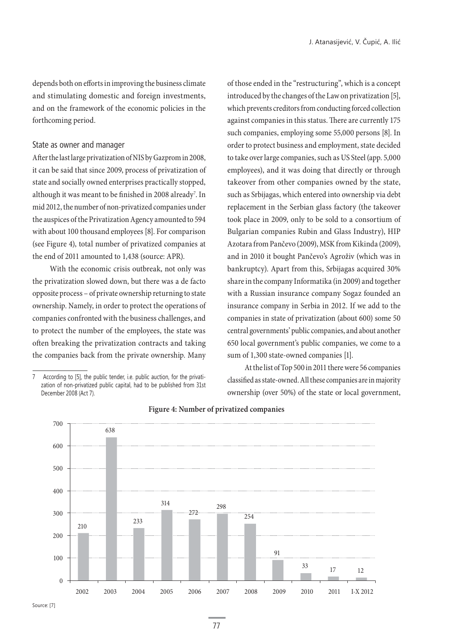depends both on efforts in improving the business climate and stimulating domestic and foreign investments, and on the framework of the economic policies in the forthcoming period.

### State as owner and manager

After the last large privatization of NIS by Gazprom in 2008, it can be said that since 2009, process of privatization of state and socially owned enterprises practically stopped, although it was meant to be finished in 2008 already<sup>7</sup>. In mid 2012, the number of non-privatized companies under the auspices of the Privatization Agency amounted to 594 with about 100 thousand employees [8]. For comparison (see Figure 4), total number of privatized companies at the end of 2011 amounted to 1,438 (source: APR).

With the economic crisis outbreak, not only was the privatization slowed down, but there was a de facto opposite process – of private ownership returning to state ownership. Namely, in order to protect the operations of companies confronted with the business challenges, and to protect the number of the employees, the state was often breaking the privatization contracts and taking the companies back from the private ownership. Many

of those ended in the "restructuring", which is a concept introduced by the changes of the Law on privatization [5], which prevents creditors from conducting forced collection against companies in this status. There are currently 175 such companies, employing some 55,000 persons [8]. In order to protect business and employment, state decided to take over large companies, such as US Steel (app. 5,000 employees), and it was doing that directly or through takeover from other companies owned by the state, such as Srbijagas, which entered into ownership via debt replacement in the Serbian glass factory (the takeover took place in 2009, only to be sold to a consortium of Bulgarian companies Rubin and Glass Industry), HIP Azotara from Pančevo (2009), MSK from Kikinda (2009), and in 2010 it bought Pančevo's Agroživ (which was in bankruptcy). Apart from this, Srbijagas acquired 30% share in the company Informatika (in 2009) and together with a Russian insurance company Sogaz founded an insurance company in Serbia in 2012. If we add to the companies in state of privatization (about 600) some 50 central governments' public companies, and about another 650 local government's public companies, we come to a sum of 1,300 state-owned companies [1].

At the list of Top 500 in 2011 there were 56 companies classified as state-owned. All these companies are in majority ownership (over 50%) of the state or local government,



#### **Figure 4: Number of privatized companies**

<sup>7</sup> According to [5], the public tender, i.e. public auction, for the privatization of non-privatized public capital, had to be published from 31st December 2008 (Act 7).

Source: [7]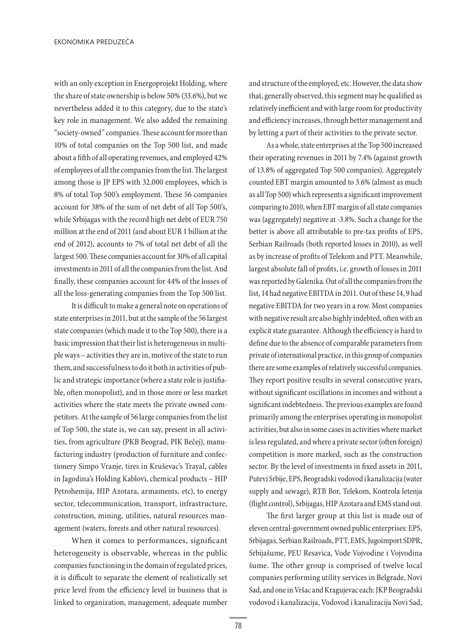with an only exception in Energoprojekt Holding, where the share of state ownership is below 50% (33.6%), but we nevertheless added it to this category, due to the state's key role in management. We also added the remaining "society-owned" companies. These account for more than 10% of total companies on the Top 500 list, and made about a fifth of all operating revenues, and employed 42% of employees of all the companies from the list. The largest among those is JP EPS with 32,000 employees, which is 8% of total Top 500's employment. These 56 companies account for 38% of the sum of net debt of all Top 500's, while Srbijagas with the record high net debt of EUR 750 million at the end of 2011 (and about EUR 1 billion at the end of 2012), accounts to 7% of total net debt of all the largest 500. These companies account for 30% of all capital investments in 2011 of all the companies from the list. And finally, these companies account for 44% of the losses of all the loss-generating companies from the Top 500 list.

It is difficult to make a general note on operations of state enterprises in 2011, but at the sample of the 56 largest state companies (which made it to the Top 500), there is a basic impression that their list is heterogeneous in multiple ways – activities they are in, motive of the state to run them, and successfulness to do it both in activities of public and strategic importance (where a state role is justifiable, often monopolist), and in those more or less market activities where the state meets the private owned competitors. At the sample of 56 large companies from the list of Top 500, the state is, we can say, present in all activities, from agriculture (PKB Beograd, PIK Bečej), manufacturing industry (production of furniture and confectionery Simpo Vranje, tires in Kruševac's Trayal, cables in Jagodina's Holding Kablovi, chemical products – HIP Petrohemija, HIP Azotara, armaments, etc), to energy sector, telecommunication, transport, infrastructure, construction, mining, utilities, natural resources management (waters, forests and other natural resources).

When it comes to performances, significant heterogeneity is observable, whereas in the public companies functioning in the domain of regulated prices, it is difficult to separate the element of realistically set price level from the efficiency level in business that is linked to organization, management, adequate number and structure of the employed, etc. However, the data show that, generally observed, this segment may be qualified as relatively inefficient and with large room for productivity and efficiency increases, through better management and by letting a part of their activities to the private sector.

As a whole, state enterprises at the Top 500 increased their operating revenues in 2011 by 7.4% (against growth of 13.8% of aggregated Top 500 companies). Aggregately counted EBT margin amounted to 3.6% (almost as much as all Top 500) which represents a significant improvement comparing to 2010, when EBT margin of all state companies was (aggregately) negative at -3.8%. Such a change for the better is above all attributable to pre-tax profits of EPS, Serbian Railroads (both reported losses in 2010), as well as by increase of profits of Telekom and PTT. Meanwhile, largest absolute fall of profits, i.e. growth of losses in 2011 was reported by Galenika. Out of all the companies from the list, 14 had negative EBITDA in 2011. Out of these 14, 9 had negative EBITDA for two years in a row. Most companies with negative result are also highly indebted, often with an explicit state guarantee. Although the efficiency is hard to define due to the absence of comparable parameters from private of international practice, in this group of companies there are some examples of relatively successful companies. They report positive results in several consecutive years, without significant oscillations in incomes and without a significant indebtedness. The previous examples are found primarily among the enterprises operating in monopolist activities, but also in some cases in activities where market is less regulated, and where a private sector (often foreign) competition is more marked, such as the construction sector. By the level of investments in fixed assets in 2011, Putevi Srbije, EPS, Beogradski vodovod i kanalizacija (water supply and sewage), RTB Bor, Telekom, Kontrola letenja (flight control), Srbijagas, HIP Azotara and EMS stand out.

The first larger group at this list is made out of eleven central-government owned public enterprises: EPS, Srbijagas, Serbian Railroads, PTT, EMS, Jugoimport SDPR, Srbijašume, PEU Resavica, Vode Vojvodine i Vojvodina šume. The other group is comprised of twelve local companies performing utility services in Belgrade, Novi Sad, and one in Vršac and Kragujevac each: JKP Beogradski vodovod i kanalizacija, Vodovod i kanalizacija Novi Sad,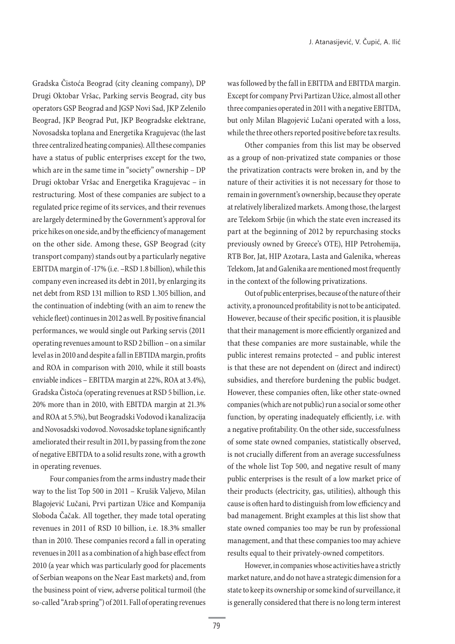Gradska Čistoća Beograd (city cleaning company), DP Drugi Oktobar Vršac, Parking servis Beograd, city bus operators GSP Beograd and JGSP Novi Sad, JKP Zelenilo Beograd, JKP Beograd Put, JKP Beogradske elektrane, Novosadska toplana and Energetika Kragujevac (the last three centralized heating companies). All these companies have a status of public enterprises except for the two, which are in the same time in "society" ownership – DP Drugi oktobar Vršac and Energetika Kragujevac – in restructuring. Most of these companies are subject to a regulated price regime of its services, and their revenues are largely determined by the Government's approval for price hikes on one side, and by the efficiency of management on the other side. Among these, GSP Beograd (city transport company) stands out by a particularly negative EBITDA margin of -17% (i.e. –RSD 1.8 billion), while this company even increased its debt in 2011, by enlarging its net debt from RSD 131 million to RSD 1.305 billion, and the continuation of indebting (with an aim to renew the vehicle fleet) continues in 2012 as well. By positive financial performances, we would single out Parking servis (2011 operating revenues amount to RSD 2 billion – on a similar level as in 2010 and despite a fall in EBTIDA margin, profits and ROA in comparison with 2010, while it still boasts enviable indices – EBITDA margin at 22%, ROA at 3.4%), Gradska Čistoća (operating revenues at RSD 5 billion, i.e. 20% more than in 2010, with EBITDA margin at 21.3% and ROA at 5.5%), but Beogradski Vodovod i kanalizacija and Novosadski vodovod. Novosadske toplane significantly ameliorated their result in 2011, by passing from the zone of negative EBITDA to a solid results zone, with a growth in operating revenues.

Four companies from the arms industry made their way to the list Top 500 in 2011 – Krušik Valjevo, Milan Blagojević Lučani, Prvi partizan Užice and Kompanija Sloboda Čačak. All together, they made total operating revenues in 2011 of RSD 10 billion, i.e. 18.3% smaller than in 2010. These companies record a fall in operating revenues in 2011 as a combination of a high base effect from 2010 (a year which was particularly good for placements of Serbian weapons on the Near East markets) and, from the business point of view, adverse political turmoil (the so-called "Arab spring") of 2011. Fall of operating revenues was followed by the fall in EBITDA and EBITDA margin. Except for company Prvi Partizan Užice, almost all other three companies operated in 2011 with a negative EBITDA, but only Milan Blagojević Lučani operated with a loss, while the three others reported positive before tax results.

Other companies from this list may be observed as a group of non-privatized state companies or those the privatization contracts were broken in, and by the nature of their activities it is not necessary for those to remain in government's ownership, because they operate at relatively liberalized markets. Among those, the largest are Telekom Srbije (in which the state even increased its part at the beginning of 2012 by repurchasing stocks previously owned by Greece's OTE), HIP Petrohemija, RTB Bor, Jat, HIP Azotara, Lasta and Galenika, whereas Telekom, Jat and Galenika are mentioned most frequently in the context of the following privatizations.

Out of public enterprises, because of the nature of their activity, a pronounced profitability is not to be anticipated. However, because of their specific position, it is plausible that their management is more efficiently organized and that these companies are more sustainable, while the public interest remains protected – and public interest is that these are not dependent on (direct and indirect) subsidies, and therefore burdening the public budget. However, these companies often, like other state-owned companies (which are not public) run a social or some other function, by operating inadequately efficiently, i.e. with a negative profitability. On the other side, successfulness of some state owned companies, statistically observed, is not crucially different from an average successfulness of the whole list Top 500, and negative result of many public enterprises is the result of a low market price of their products (electricity, gas, utilities), although this cause is often hard to distinguish from low efficiency and bad management. Bright examples at this list show that state owned companies too may be run by professional management, and that these companies too may achieve results equal to their privately-owned competitors.

However, in companies whose activities have a strictly market nature, and do not have a strategic dimension for a state to keep its ownership or some kind of surveillance, it is generally considered that there is no long term interest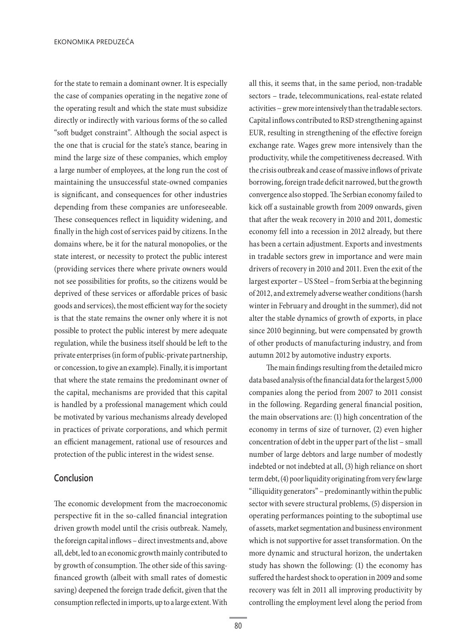for the state to remain a dominant owner. It is especially the case of companies operating in the negative zone of the operating result and which the state must subsidize directly or indirectly with various forms of the so called "soft budget constraint". Although the social aspect is the one that is crucial for the state's stance, bearing in mind the large size of these companies, which employ a large number of employees, at the long run the cost of maintaining the unsuccessful state-owned companies is significant, and consequences for other industries depending from these companies are unforeseeable. These consequences reflect in liquidity widening, and finally in the high cost of services paid by citizens. In the domains where, be it for the natural monopolies, or the state interest, or necessity to protect the public interest (providing services there where private owners would not see possibilities for profits, so the citizens would be deprived of these services or affordable prices of basic goods and services), the most efficient way for the society is that the state remains the owner only where it is not possible to protect the public interest by mere adequate regulation, while the business itself should be left to the private enterprises (in form of public-private partnership, or concession, to give an example). Finally, it is important that where the state remains the predominant owner of the capital, mechanisms are provided that this capital is handled by a professional management which could be motivated by various mechanisms already developed in practices of private corporations, and which permit an efficient management, rational use of resources and protection of the public interest in the widest sense.

### **Conclusion**

The economic development from the macroeconomic perspective fit in the so-called financial integration driven growth model until the crisis outbreak. Namely, the foreign capital inflows – direct investments and, above all, debt, led to an economic growth mainly contributed to by growth of consumption. The other side of this savingfinanced growth (albeit with small rates of domestic saving) deepened the foreign trade deficit, given that the consumption reflected in imports, up to a large extent. With

all this, it seems that, in the same period, non-tradable sectors – trade, telecommunications, real-estate related activities − grew more intensively than the tradable sectors. Capital inflows contributed to RSD strengthening against EUR, resulting in strengthening of the effective foreign exchange rate. Wages grew more intensively than the productivity, while the competitiveness decreased. With the crisis outbreak and cease of massive inflows of private borrowing, foreign trade deficit narrowed, but the growth convergence also stopped. The Serbian economy failed to kick off a sustainable growth from 2009 onwards, given that after the weak recovery in 2010 and 2011, domestic economy fell into a recession in 2012 already, but there has been a certain adjustment. Exports and investments in tradable sectors grew in importance and were main drivers of recovery in 2010 and 2011. Even the exit of the largest exporter – US Steel – from Serbia at the beginning of 2012, and extremely adverse weather conditions (harsh winter in February and drought in the summer), did not alter the stable dynamics of growth of exports, in place since 2010 beginning, but were compensated by growth of other products of manufacturing industry, and from autumn 2012 by automotive industry exports.

The main findings resulting from the detailed micro data based analysis of the financial data for the largest 5,000 companies along the period from 2007 to 2011 consist in the following. Regarding general financial position, the main observations are: (1) high concentration of the economy in terms of size of turnover, (2) even higher concentration of debt in the upper part of the list – small number of large debtors and large number of modestly indebted or not indebted at all, (3) high reliance on short term debt, (4) poor liquidity originating from very few large "illiquidity generators" – predominantly within the public sector with severe structural problems, (5) dispersion in operating performances pointing to the suboptimal use of assets, market segmentation and business environment which is not supportive for asset transformation. On the more dynamic and structural horizon, the undertaken study has shown the following: (1) the economy has suffered the hardest shock to operation in 2009 and some recovery was felt in 2011 all improving productivity by controlling the employment level along the period from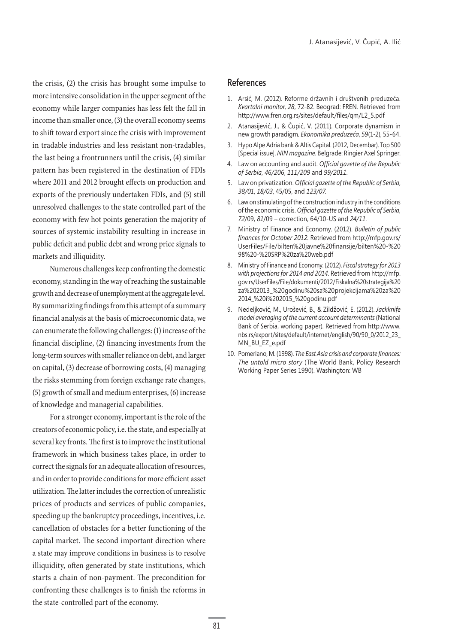the crisis, (2) the crisis has brought some impulse to more intensive consolidation in the upper segment of the economy while larger companies has less felt the fall in income than smaller once, (3) the overall economy seems to shift toward export since the crisis with improvement in tradable industries and less resistant non-tradables, the last being a frontrunners until the crisis, (4) similar pattern has been registered in the destination of FDIs where 2011 and 2012 brought effects on production and exports of the previously undertaken FDIs, and (5) still unresolved challenges to the state controlled part of the economy with few hot points generation the majority of sources of systemic instability resulting in increase in public deficit and public debt and wrong price signals to markets and illiquidity.

Numerous challenges keep confronting the domestic economy, standing in the way of reaching the sustainable growth and decrease of unemployment at the aggregate level. By summarizing findings from this attempt of a summary financial analysis at the basis of microeconomic data, we can enumerate the following challenges: (1) increase of the financial discipline, (2) financing investments from the long-term sources with smaller reliance on debt, and larger on capital, (3) decrease of borrowing costs, (4) managing the risks stemming from foreign exchange rate changes, (5) growth of small and medium enterprises, (6) increase of knowledge and managerial capabilities.

For a stronger economy, important is the role of the creators of economic policy, i.e. the state, and especially at several key fronts. The first is to improve the institutional framework in which business takes place, in order to correct the signals for an adequate allocation of resources, and in order to provide conditions for more efficient asset utilization. The latter includes the correction of unrealistic prices of products and services of public companies, speeding up the bankruptcy proceedings, incentives, i.e. cancellation of obstacles for a better functioning of the capital market. The second important direction where a state may improve conditions in business is to resolve illiquidity, often generated by state institutions, which starts a chain of non-payment. The precondition for confronting these challenges is to finish the reforms in the state-controlled part of the economy.

### **References**

- 1. Arsić, M. (2012). Reforme državnih i društvenih preduzeća. Kvartalni monitor, 28, 72-82. Beograd: FREN. Retrieved from http://www.fren.org.rs/sites/default/files/gm/L2 5.pdf
- 2. Atanasijević, J., & Čupić, V. (2011). Corporate dynamism in new growth paradigm. *Ekonomika preduzeća*, 59(1-2), 55-64.
- 3. Hypo Alpe Adria bank & Altis Capital. (2012, Decembar). Top 500 [Special issue]. *NIN magazine*. Belgrade: Ringier Axel Springer.
- 4. Law on accounting and audit. Official gazette of the Republic *of Serbia, 46/206, 111/209 and 99/2011.*
- 5. Law on privatization. Official gazette of the Republic of Serbia, 38/01, 18/03, 45/05, and 123/07.
- 6. Law on stimulating of the construction industry in the conditions of the economic crisis. Official gazette of the Republic of Serbia, 72/09, 81/09 – correction, 64/10-US and 24/11.
- 7. Ministry of Finance and Economy. (2012). *Bulletin of public*  finances for October 2012. Retrieved from http://mfp.gov.rs/ UserFiles/File/bilten%20javne%20finansije/bilten%20-%20 98%20-%20SRP%20za%20web.pdf
- 8. Ministry of Finance and Economy. (2012). *Fiscal strategy for 2013 with projections for 2014 and 2014.* Retrieved from http://mfp. gov.rs/UserFiles/File/dokumenti/2012/Fiskalna%20strategija%20 za%202013\_%20godinu%20sa%20projekcijama%20za%20 2014\_%20i%202015\_%20godinu.pdf
- 9. Nedeljković, M., Urošević, B., & Zildžović, E. (2012). Jackknife *model averaging of the current account determinants* (National Bank of Serbia, working paper). Retrieved from http://www. nbs.rs/export/sites/default/internet/english/90/90\_0/2012\_23\_ MN\_BU\_EZ\_e.pdf
- 10. Pomerlano, M. (1998). *The East Asia crisis and corporate finances*: *The untold micro story* (The World Bank, Policy Research Working Paper Series 1990). Washington: WB